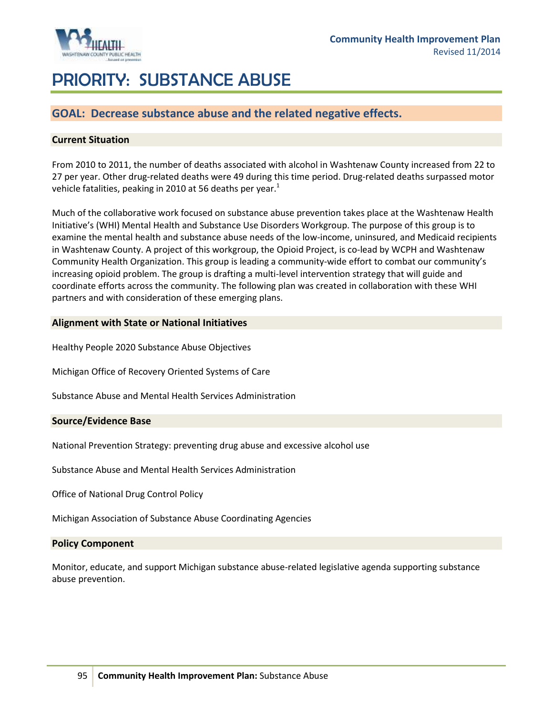

# PRIORITY: SUBSTANCE ABUSE

## **GOAL: Decrease substance abuse and the related negative effects.**

#### **Current Situation**

From 2010 to 2011, the number of deaths associated with alcohol in Washtenaw County increased from 22 to 27 per year. Other drug-related deaths were 49 during this time period. Drug-related deaths surpassed motor vehicle fatalities, peaking in 2010 at 56 deaths per year. $<sup>1</sup>$ </sup>

Much of the collaborative work focused on substance abuse prevention takes place at the Washtenaw Health Initiative's (WHI) Mental Health and Substance Use Disorders Workgroup. The purpose of this group is to examine the mental health and substance abuse needs of the low-income, uninsured, and Medicaid recipients in Washtenaw County. A project of this workgroup, the Opioid Project, is co-lead by WCPH and Washtenaw Community Health Organization. This group is leading a community-wide effort to combat our community's increasing opioid problem. The group is drafting a multi-level intervention strategy that will guide and coordinate efforts across the community. The following plan was created in collaboration with these WHI partners and with consideration of these emerging plans.

#### **Alignment with State or National Initiatives**

Healthy People 2020 Substance Abuse Objectives

Michigan Office of Recovery Oriented Systems of Care

Substance Abuse and Mental Health Services Administration

#### **Source/Evidence Base**

National Prevention Strategy: preventing drug abuse and excessive alcohol use

Substance Abuse and Mental Health Services Administration

Office of National Drug Control Policy

Michigan Association of Substance Abuse Coordinating Agencies

#### **Policy Component**

Monitor, educate, and support Michigan substance abuse-related legislative agenda supporting substance abuse prevention.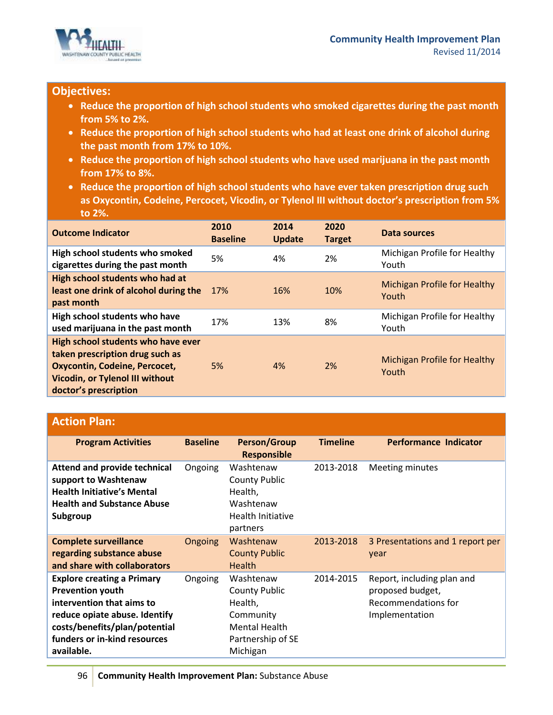

## **Objectives:**

- **Reduce the proportion of high school students who smoked cigarettes during the past month from 5% to 2%.**
- **Reduce the proportion of high school students who had at least one drink of alcohol during the past month from 17% to 10%.**
- **Reduce the proportion of high school students who have used marijuana in the past month from 17% to 8%.**
- **Reduce the proportion of high school students who have ever taken prescription drug such as Oxycontin, Codeine, Percocet, Vicodin, or Tylenol III without doctor's prescription from 5% to 2%.**

| <b>Outcome Indicator</b>                                                                                                                                                         | 2010<br><b>Baseline</b> | 2014<br><b>Update</b> | 2020<br><b>Target</b> | Data sources                                 |
|----------------------------------------------------------------------------------------------------------------------------------------------------------------------------------|-------------------------|-----------------------|-----------------------|----------------------------------------------|
| High school students who smoked<br>cigarettes during the past month                                                                                                              | 5%                      | 4%                    | 2%                    | Michigan Profile for Healthy<br>Youth        |
| High school students who had at<br>least one drink of alcohol during the<br>past month                                                                                           | 17%                     | 16%                   | 10%                   | <b>Michigan Profile for Healthy</b><br>Youth |
| High school students who have<br>used marijuana in the past month                                                                                                                | 17%                     | 13%                   | 8%                    | Michigan Profile for Healthy<br>Youth        |
| High school students who have ever<br>taken prescription drug such as<br><b>Oxycontin, Codeine, Percocet,</b><br><b>Vicodin, or Tylenol III without</b><br>doctor's prescription | 5%                      | 4%                    | 2%                    | <b>Michigan Profile for Healthy</b><br>Youth |

## **Action Plan:**

| <b>Program Activities</b>                                                                                                                                                                                 | <b>Baseline</b> | <b>Person/Group</b><br><b>Responsible</b>                                                                          | <b>Timeline</b> | Performance Indicator                                                                   |
|-----------------------------------------------------------------------------------------------------------------------------------------------------------------------------------------------------------|-----------------|--------------------------------------------------------------------------------------------------------------------|-----------------|-----------------------------------------------------------------------------------------|
| Attend and provide technical<br>support to Washtenaw<br><b>Health Initiative's Mental</b><br><b>Health and Substance Abuse</b><br>Subgroup                                                                | Ongoing         | Washtenaw<br><b>County Public</b><br>Health,<br>Washtenaw<br>Health Initiative<br>partners                         | 2013-2018       | Meeting minutes                                                                         |
| <b>Complete surveillance</b><br>regarding substance abuse<br>and share with collaborators                                                                                                                 | Ongoing         | Washtenaw<br><b>County Public</b><br><b>Health</b>                                                                 | 2013-2018       | 3 Presentations and 1 report per<br>year                                                |
| <b>Explore creating a Primary</b><br><b>Prevention youth</b><br>intervention that aims to<br>reduce opiate abuse. Identify<br>costs/benefits/plan/potential<br>funders or in-kind resources<br>available. | Ongoing         | Washtenaw<br><b>County Public</b><br>Health,<br>Community<br><b>Mental Health</b><br>Partnership of SE<br>Michigan | 2014-2015       | Report, including plan and<br>proposed budget,<br>Recommendations for<br>Implementation |